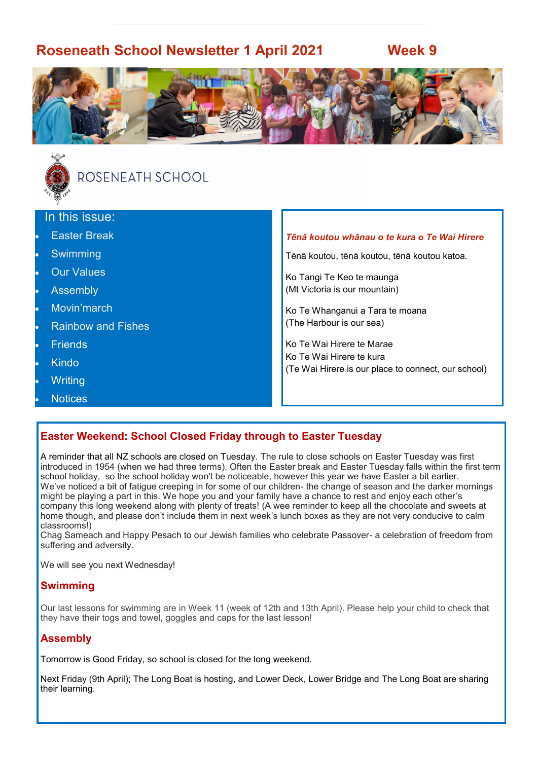# **Roseneath School Newsletter 1 April 2021 Week 9**





# ROSENEATH SCHOOL

#### In this issue:

- **Easter Break**
- **Swimming**
- **Our Values**
- **Assembly**
- Movin'march
- Rainbow and Fishes
- **Friends**
- Kindo
- **Writing**
- **Notices**

#### *Tēnā koutou whānau o te kura o Te Wai Hirere*

Tēnā koutou, tēnā koutou, tēnā koutou katoa.

Ko Tangi Te Keo te maunga (Mt Victoria is our mountain)

Ko Te Whanganui a Tara te moana (The Harbour is our sea)

Ko Te Wai Hirere te Marae Ko Te Wai Hirere te kura (Te Wai Hirere is our place to connect, our school)

#### **Easter Weekend: School Closed Friday through to Easter Tuesday**

A reminder that all NZ schools are closed on Tuesday. The rule to close schools on Easter Tuesday was first introduced in 1954 (when we had three terms). Often the Easter break and Easter Tuesday falls within the first term school holiday, so the school holiday won't be noticeable, however this year we have Easter a bit earlier. We've noticed a bit of fatigue creeping in for some of our children- the change of season and the darker mornings might be playing a part in this. We hope you and your family have a chance to rest and enjoy each other's company this long weekend along with plenty of treats! (A wee reminder to keep all the chocolate and sweets at home though, and please don't include them in next week's lunch boxes as they are not very conducive to calm classrooms!)

Chag Sameach and Happy Pesach to our Jewish families who celebrate Passover- a celebration of freedom from suffering and adversity.

We will see you next Wednesday!

#### **Swimming**

Our last lessons for swimming are in Week 11 (week of 12th and 13th April). Please help your child to check that they have their togs and towel, goggles and caps for the last lesson!

#### **Assembly**

Tomorrow is Good Friday, so school is closed for the long weekend.

Next Friday (9th April); The Long Boat is hosting, and Lower Deck, Lower Bridge and The Long Boat are sharing their learning.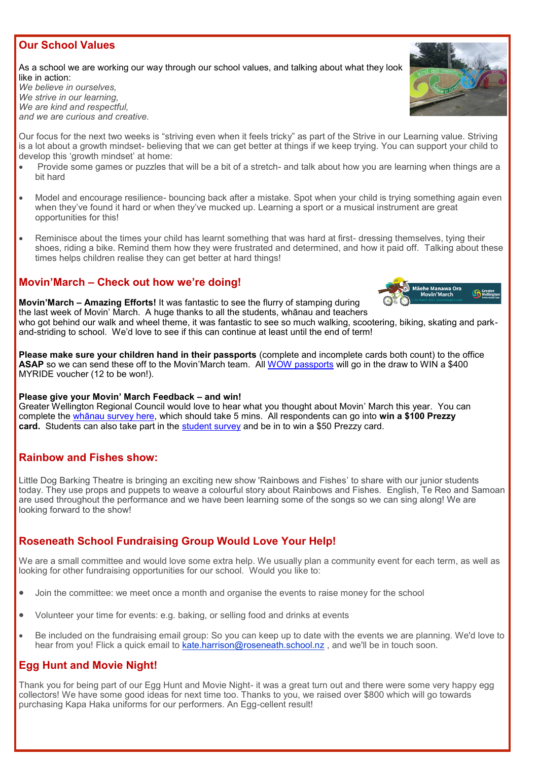#### **Our School Values**

As a school we are working our way through our school values, and talking about what they look like in action:

*We believe in ourselves, We strive in our learning, We are kind and respectful, and we are curious and creative.*

Our focus for the next two weeks is "striving even when it feels tricky" as part of the Strive in our Learning value. Striving is a lot about a growth mindset- believing that we can get better at things if we keep trying. You can support your child to develop this 'growth mindset' at home:

- Provide some games or puzzles that will be a bit of a stretch- and talk about how you are learning when things are a bit hard
- Model and encourage resilience- bouncing back after a mistake. Spot when your child is trying something again even when they've found it hard or when they've mucked up. Learning a sport or a musical instrument are great opportunities for this!
- Reminisce about the times your child has learnt something that was hard at first- dressing themselves, tying their shoes, riding a bike. Remind them how they were frustrated and determined, and how it paid off. Talking about these times helps children realise they can get better at hard things!

#### **Movin'March – Check out how we're doing!**



**Movin'March – Amazing Efforts!** It was fantastic to see the flurry of stamping during the last week of Movin' March. A huge thanks to all the students, whānau and teachers

who got behind our walk and wheel theme, it was fantastic to see so much walking, scootering, biking, skating and parkand-striding to school. We'd love to see if this can continue at least until the end of term!

**Please make sure your children hand in their passports** (complete and incomplete cards both count) to the office **ASAP** so we can send these off to the Movin'March team. All [WOW passports](http://www.movinmarch.com/wow) will go in the draw to WIN a \$400 MYRIDE voucher (12 to be won!).

#### **Please give your Movin' March Feedback – and win!**

Greater Wellington Regional Council would love to hear what you thought about Movin' March this year. You can complete the [whānau survey here,](https://engage.checkboxonline.com/MM_Parents_survey_2021) which should take 5 mins. All respondents can go into **win a \$100 Prezzy card.** Students can also take part in the [student survey](https://engage.checkboxonline.com/MM_student_survey_2021) and be in to win a \$50 Prezzy card.

#### **Rainbow and Fishes show:**

Little Dog Barking Theatre is bringing an exciting new show 'Rainbows and Fishes' to share with our junior students today. They use props and puppets to weave a colourful story about Rainbows and Fishes. English, Te Reo and Samoan are used throughout the performance and we have been learning some of the songs so we can sing along! We are looking forward to the show!

#### **Roseneath School Fundraising Group Would Love Your Help!**

We are a small committee and would love some extra help. We usually plan a community event for each term, as well as looking for other fundraising opportunities for our school. Would you like to:

- Join the committee: we meet once a month and organise the events to raise money for the school
- Volunteer your time for events: e.g. baking, or selling food and drinks at events
- Be included on the fundraising email group: So you can keep up to date with the events we are planning. We'd love to hear from you! Flick a quick email to [kate.harrison@roseneath.school.nz](mailto:kate.harrison@roseneath.school.nz), and we'll be in touch soon.

#### **Egg Hunt and Movie Night!**

Thank you for being part of our Egg Hunt and Movie Night- it was a great turn out and there were some very happy egg collectors! We have some good ideas for next time too. Thanks to you, we raised over \$800 which will go towards purchasing Kapa Haka uniforms for our performers. An Egg-cellent result!